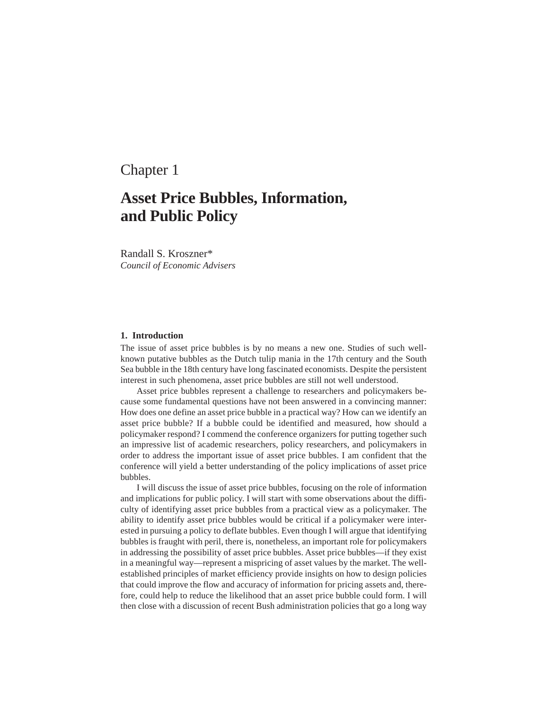## Chapter 1

# **[Asset Price Bubbles, Information,](#page--1-0) and Public Policy**

Randall S. Kroszner\* *Council of Economic Advisers*

#### **1. Introduction**

The issue of asset price bubbles is by no means a new one. Studies of such wellknown putative bubbles as the Dutch tulip mania in the 17th century and the South Sea bubble in the 18th century have long fascinated economists. Despite the persistent interest in such phenomena, asset price bubbles are still not well understood.

Asset price bubbles represent a challenge to researchers and policymakers because some fundamental questions have not been answered in a convincing manner: How does one define an asset price bubble in a practical way? How can we identify an asset price bubble? If a bubble could be identified and measured, how should a policymaker respond? I commend the conference organizers for putting together such an impressive list of academic researchers, policy researchers, and policymakers in order to address the important issue of asset price bubbles. I am confident that the conference will yield a better understanding of the policy implications of asset price bubbles.

I will discuss the issue of asset price bubbles, focusing on the role of information and implications for public policy. I will start with some observations about the difficulty of identifying asset price bubbles from a practical view as a policymaker. The ability to identify asset price bubbles would be critical if a policymaker were interested in pursuing a policy to deflate bubbles. Even though I will argue that identifying bubbles is fraught with peril, there is, nonetheless, an important role for policymakers in addressing the possibility of asset price bubbles. Asset price bubbles—if they exist in a meaningful way—represent a mispricing of asset values by the market. The wellestablished principles of market efficiency provide insights on how to design policies that could improve the flow and accuracy of information for pricing assets and, therefore, could help to reduce the likelihood that an asset price bubble could form. I will then close with a discussion of recent Bush administration policies that go a long way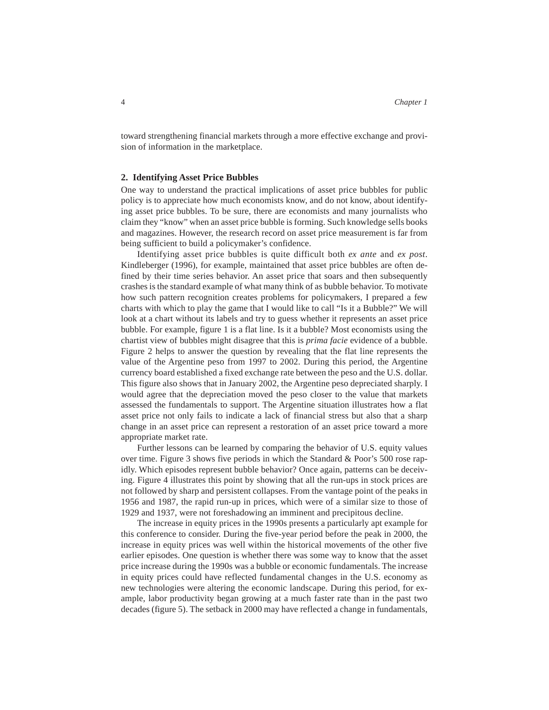toward strengthening financial markets through a more effective exchange and provision of information in the marketplace.

#### **2. Identifying Asset Price Bubbles**

One way to understand the practical implications of asset price bubbles for public policy is to appreciate how much economists know, and do not know, about identifying asset price bubbles. To be sure, there are economists and many journalists who claim they "know" when an asset price bubble is forming. Such knowledge sells books and magazines. However, the research record on asset price measurement is far from being sufficient to build a policymaker's confidence.

Identifying asset price bubbles is quite difficult both *ex ante* and *ex post*. Kindleberger (1996), for example, maintained that asset price bubbles are often defined by their time series behavior. An asset price that soars and then subsequently crashes is the standard example of what many think of as bubble behavior. To motivate how such pattern recognition creates problems for policymakers, I prepared a few charts with which to play the game that I would like to call "Is it a Bubble?" We will look at a chart without its labels and try to guess whether it represents an asset price bubble. For example, figure 1 is a flat line. Is it a bubble? Most economists using the chartist view of bubbles might disagree that this is *prima facie* evidence of a bubble. Figure 2 helps to answer the question by revealing that the flat line represents the value of the Argentine peso from 1997 to 2002. During this period, the Argentine currency board established a fixed exchange rate between the peso and the U.S. dollar. This figure also shows that in January 2002, the Argentine peso depreciated sharply. I would agree that the depreciation moved the peso closer to the value that markets assessed the fundamentals to support. The Argentine situation illustrates how a flat asset price not only fails to indicate a lack of financial stress but also that a sharp change in an asset price can represent a restoration of an asset price toward a more appropriate market rate.

Further lessons can be learned by comparing the behavior of U.S. equity values over time. Figure 3 shows five periods in which the Standard & Poor's 500 rose rapidly. Which episodes represent bubble behavior? Once again, patterns can be deceiving. Figure 4 illustrates this point by showing that all the run-ups in stock prices are not followed by sharp and persistent collapses. From the vantage point of the peaks in 1956 and 1987, the rapid run-up in prices, which were of a similar size to those of 1929 and 1937, were not foreshadowing an imminent and precipitous decline.

The increase in equity prices in the 1990s presents a particularly apt example for this conference to consider. During the five-year period before the peak in 2000, the increase in equity prices was well within the historical movements of the other five earlier episodes. One question is whether there was some way to know that the asset price increase during the 1990s was a bubble or economic fundamentals. The increase in equity prices could have reflected fundamental changes in the U.S. economy as new technologies were altering the economic landscape. During this period, for example, labor productivity began growing at a much faster rate than in the past two decades (figure 5). The setback in 2000 may have reflected a change in fundamentals,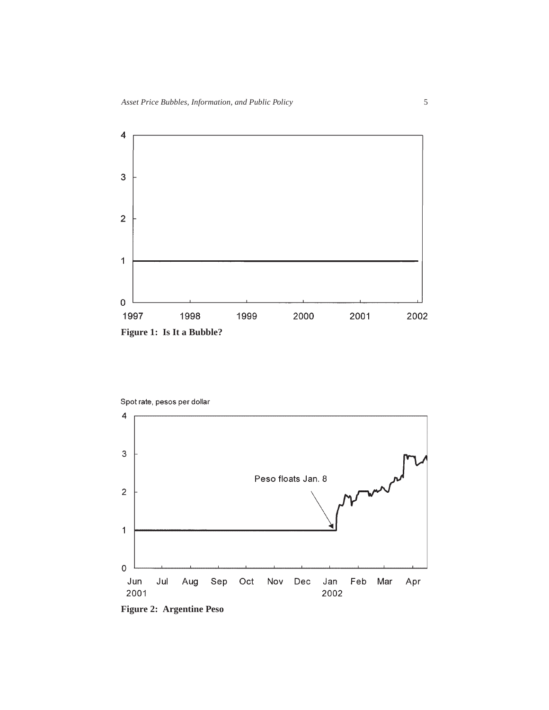

Spot rate, pesos per dollar



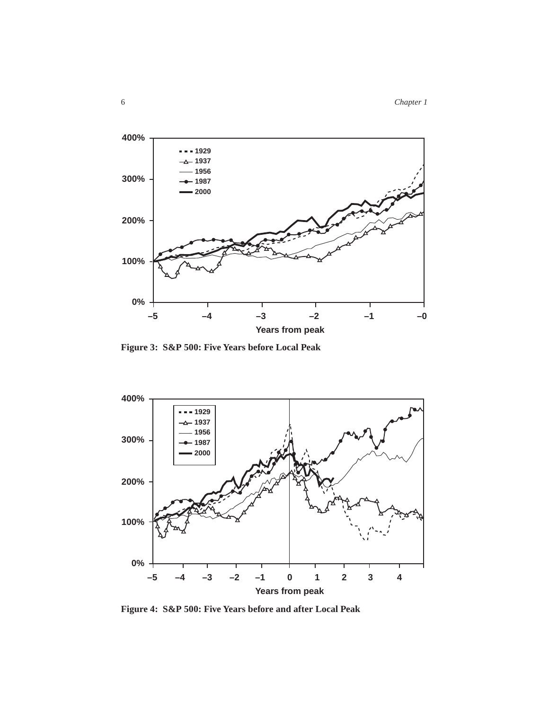6 *Chapter 1*



**Figure 3: S&P 500: Five Years before Local Peak**



**Figure 4: S&P 500: Five Years before and after Local Peak**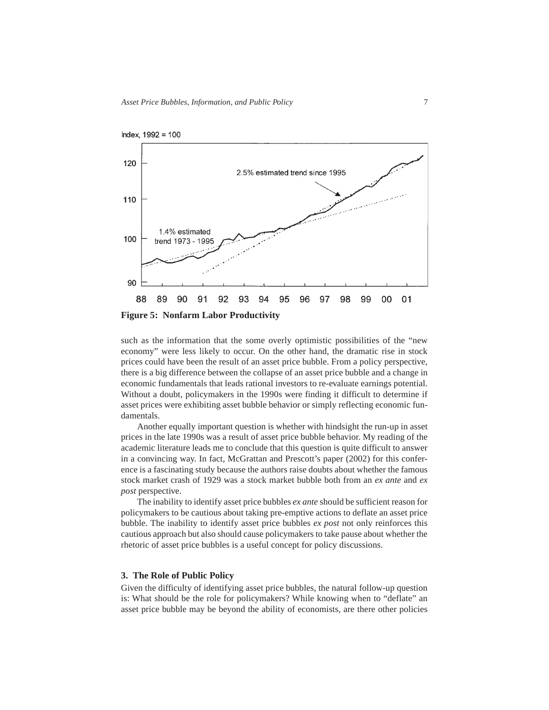

such as the information that the some overly optimistic possibilities of the "new economy" were less likely to occur. On the other hand, the dramatic rise in stock prices could have been the result of an asset price bubble. From a policy perspective, there is a big difference between the collapse of an asset price bubble and a change in economic fundamentals that leads rational investors to re-evaluate earnings potential. Without a doubt, policymakers in the 1990s were finding it difficult to determine if asset prices were exhibiting asset bubble behavior or simply reflecting economic fundamentals.

Another equally important question is whether with hindsight the run-up in asset prices in the late 1990s was a result of asset price bubble behavior. My reading of the academic literature leads me to conclude that this question is quite difficult to answer in a convincing way. In fact, McGrattan and Prescott's paper (2002) for this conference is a fascinating study because the authors raise doubts about whether the famous stock market crash of 1929 was a stock market bubble both from an *ex ante* and *ex post* perspective.

The inability to identify asset price bubbles *ex ante* should be sufficient reason for policymakers to be cautious about taking pre-emptive actions to deflate an asset price bubble. The inability to identify asset price bubbles *ex post* not only reinforces this cautious approach but also should cause policymakers to take pause about whether the rhetoric of asset price bubbles is a useful concept for policy discussions.

#### **3. The Role of Public Policy**

Given the difficulty of identifying asset price bubbles, the natural follow-up question is: What should be the role for policymakers? While knowing when to "deflate" an asset price bubble may be beyond the ability of economists, are there other policies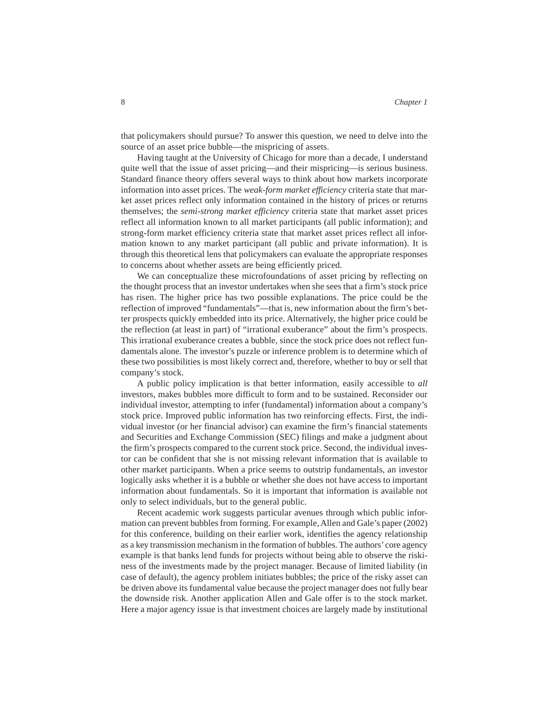that policymakers should pursue? To answer this question, we need to delve into the source of an asset price bubble—the mispricing of assets.

Having taught at the University of Chicago for more than a decade, I understand quite well that the issue of asset pricing—and their mispricing—is serious business. Standard finance theory offers several ways to think about how markets incorporate information into asset prices. The *weak-form market efficiency* criteria state that market asset prices reflect only information contained in the history of prices or returns themselves; the *semi-strong market efficiency* criteria state that market asset prices reflect all information known to all market participants (all public information); and strong-form market efficiency criteria state that market asset prices reflect all information known to any market participant (all public and private information). It is through this theoretical lens that policymakers can evaluate the appropriate responses to concerns about whether assets are being efficiently priced.

We can conceptualize these microfoundations of asset pricing by reflecting on the thought process that an investor undertakes when she sees that a firm's stock price has risen. The higher price has two possible explanations. The price could be the reflection of improved "fundamentals"—that is, new information about the firm's better prospects quickly embedded into its price. Alternatively, the higher price could be the reflection (at least in part) of "irrational exuberance" about the firm's prospects. This irrational exuberance creates a bubble, since the stock price does not reflect fundamentals alone. The investor's puzzle or inference problem is to determine which of these two possibilities is most likely correct and, therefore, whether to buy or sell that company's stock.

A public policy implication is that better information, easily accessible to *all* investors, makes bubbles more difficult to form and to be sustained. Reconsider our individual investor, attempting to infer (fundamental) information about a company's stock price. Improved public information has two reinforcing effects. First, the individual investor (or her financial advisor) can examine the firm's financial statements and Securities and Exchange Commission (SEC) filings and make a judgment about the firm's prospects compared to the current stock price. Second, the individual investor can be confident that she is not missing relevant information that is available to other market participants. When a price seems to outstrip fundamentals, an investor logically asks whether it is a bubble or whether she does not have access to important information about fundamentals. So it is important that information is available not only to select individuals, but to the general public.

Recent academic work suggests particular avenues through which public information can prevent bubbles from forming. For example, Allen and Gale's paper (2002) for this conference, building on their earlier work, identifies the agency relationship as a key transmission mechanism in the formation of bubbles. The authors' core agency example is that banks lend funds for projects without being able to observe the riskiness of the investments made by the project manager. Because of limited liability (in case of default), the agency problem initiates bubbles; the price of the risky asset can be driven above its fundamental value because the project manager does not fully bear the downside risk. Another application Allen and Gale offer is to the stock market. Here a major agency issue is that investment choices are largely made by institutional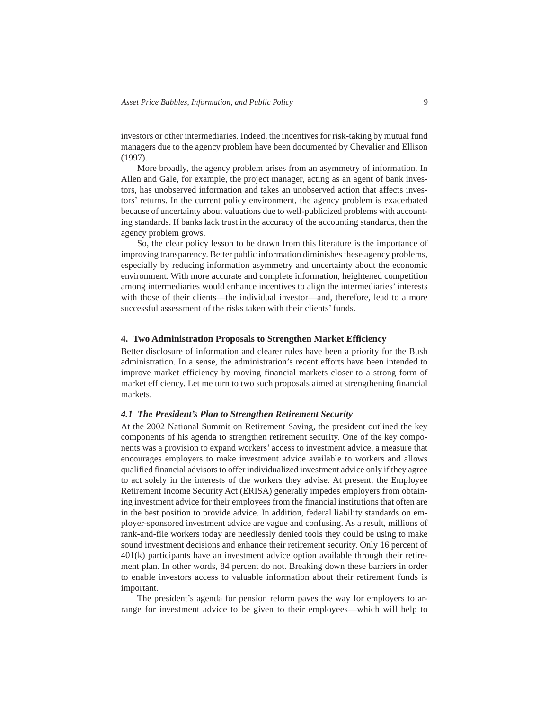investors or other intermediaries. Indeed, the incentives for risk-taking by mutual fund managers due to the agency problem have been documented by Chevalier and Ellison (1997).

More broadly, the agency problem arises from an asymmetry of information. In Allen and Gale, for example, the project manager, acting as an agent of bank investors, has unobserved information and takes an unobserved action that affects investors' returns. In the current policy environment, the agency problem is exacerbated because of uncertainty about valuations due to well-publicized problems with accounting standards. If banks lack trust in the accuracy of the accounting standards, then the agency problem grows.

So, the clear policy lesson to be drawn from this literature is the importance of improving transparency. Better public information diminishes these agency problems, especially by reducing information asymmetry and uncertainty about the economic environment. With more accurate and complete information, heightened competition among intermediaries would enhance incentives to align the intermediaries' interests with those of their clients—the individual investor—and, therefore, lead to a more successful assessment of the risks taken with their clients' funds.

#### **4. Two Administration Proposals to Strengthen Market Efficiency**

Better disclosure of information and clearer rules have been a priority for the Bush administration. In a sense, the administration's recent efforts have been intended to improve market efficiency by moving financial markets closer to a strong form of market efficiency. Let me turn to two such proposals aimed at strengthening financial markets.

#### *4.1 The President's Plan to Strengthen Retirement Security*

At the 2002 National Summit on Retirement Saving, the president outlined the key components of his agenda to strengthen retirement security. One of the key components was a provision to expand workers' access to investment advice, a measure that encourages employers to make investment advice available to workers and allows qualified financial advisors to offer individualized investment advice only if they agree to act solely in the interests of the workers they advise. At present, the Employee Retirement Income Security Act (ERISA) generally impedes employers from obtaining investment advice for their employees from the financial institutions that often are in the best position to provide advice. In addition, federal liability standards on employer-sponsored investment advice are vague and confusing. As a result, millions of rank-and-file workers today are needlessly denied tools they could be using to make sound investment decisions and enhance their retirement security. Only 16 percent of 401(k) participants have an investment advice option available through their retirement plan. In other words, 84 percent do not. Breaking down these barriers in order to enable investors access to valuable information about their retirement funds is important.

The president's agenda for pension reform paves the way for employers to arrange for investment advice to be given to their employees—which will help to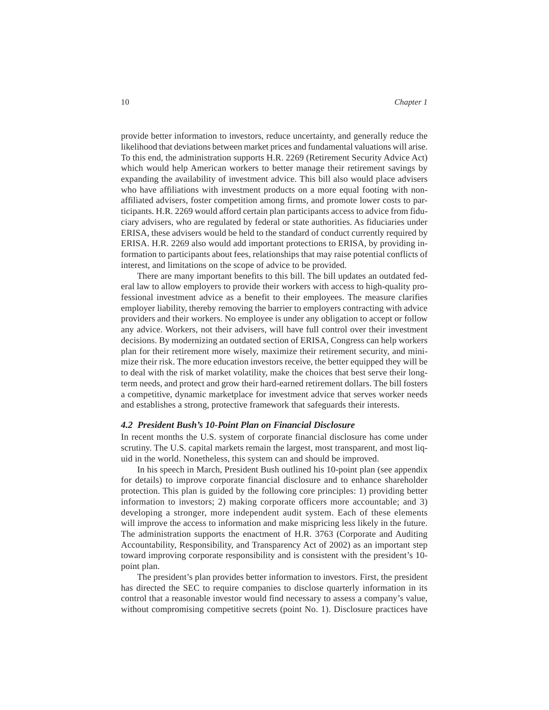provide better information to investors, reduce uncertainty, and generally reduce the likelihood that deviations between market prices and fundamental valuations will arise. To this end, the administration supports H.R. 2269 (Retirement Security Advice Act) which would help American workers to better manage their retirement savings by expanding the availability of investment advice. This bill also would place advisers who have affiliations with investment products on a more equal footing with nonaffiliated advisers, foster competition among firms, and promote lower costs to participants. H.R. 2269 would afford certain plan participants access to advice from fiduciary advisers, who are regulated by federal or state authorities. As fiduciaries under ERISA, these advisers would be held to the standard of conduct currently required by ERISA. H.R. 2269 also would add important protections to ERISA, by providing information to participants about fees, relationships that may raise potential conflicts of interest, and limitations on the scope of advice to be provided.

There are many important benefits to this bill. The bill updates an outdated federal law to allow employers to provide their workers with access to high-quality professional investment advice as a benefit to their employees. The measure clarifies employer liability, thereby removing the barrier to employers contracting with advice providers and their workers. No employee is under any obligation to accept or follow any advice. Workers, not their advisers, will have full control over their investment decisions. By modernizing an outdated section of ERISA, Congress can help workers plan for their retirement more wisely, maximize their retirement security, and minimize their risk. The more education investors receive, the better equipped they will be to deal with the risk of market volatility, make the choices that best serve their longterm needs, and protect and grow their hard-earned retirement dollars. The bill fosters a competitive, dynamic marketplace for investment advice that serves worker needs and establishes a strong, protective framework that safeguards their interests.

#### *4.2 President Bush's 10-Point Plan on Financial Disclosure*

In recent months the U.S. system of corporate financial disclosure has come under scrutiny. The U.S. capital markets remain the largest, most transparent, and most liquid in the world. Nonetheless, this system can and should be improved.

In his speech in March, President Bush outlined his 10-point plan (see appendix for details) to improve corporate financial disclosure and to enhance shareholder protection. This plan is guided by the following core principles: 1) providing better information to investors; 2) making corporate officers more accountable; and 3) developing a stronger, more independent audit system. Each of these elements will improve the access to information and make mispricing less likely in the future. The administration supports the enactment of H.R. 3763 (Corporate and Auditing Accountability, Responsibility, and Transparency Act of 2002) as an important step toward improving corporate responsibility and is consistent with the president's 10 point plan.

The president's plan provides better information to investors. First, the president has directed the SEC to require companies to disclose quarterly information in its control that a reasonable investor would find necessary to assess a company's value, without compromising competitive secrets (point No. 1). Disclosure practices have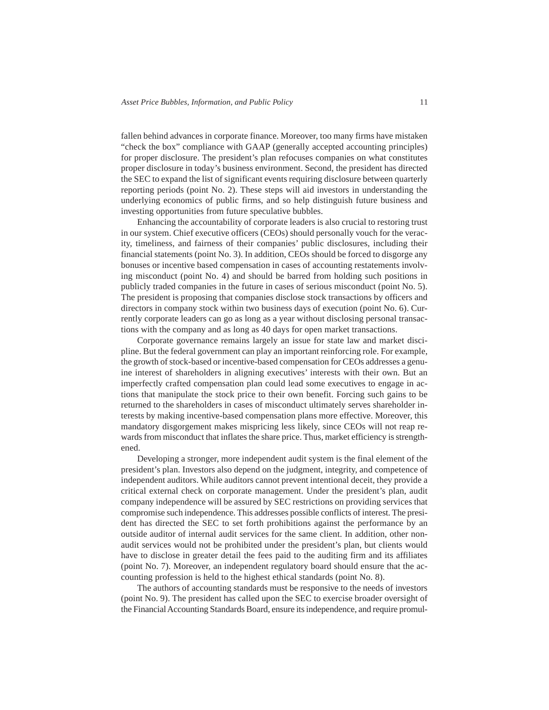fallen behind advances in corporate finance. Moreover, too many firms have mistaken "check the box" compliance with GAAP (generally accepted accounting principles) for proper disclosure. The president's plan refocuses companies on what constitutes proper disclosure in today's business environment. Second, the president has directed the SEC to expand the list of significant events requiring disclosure between quarterly reporting periods (point No. 2). These steps will aid investors in understanding the underlying economics of public firms, and so help distinguish future business and investing opportunities from future speculative bubbles.

Enhancing the accountability of corporate leaders is also crucial to restoring trust in our system. Chief executive officers (CEOs) should personally vouch for the veracity, timeliness, and fairness of their companies' public disclosures, including their financial statements (point No. 3). In addition, CEOs should be forced to disgorge any bonuses or incentive based compensation in cases of accounting restatements involving misconduct (point No. 4) and should be barred from holding such positions in publicly traded companies in the future in cases of serious misconduct (point No. 5). The president is proposing that companies disclose stock transactions by officers and directors in company stock within two business days of execution (point No. 6). Currently corporate leaders can go as long as a year without disclosing personal transactions with the company and as long as 40 days for open market transactions.

Corporate governance remains largely an issue for state law and market discipline. But the federal government can play an important reinforcing role. For example, the growth of stock-based or incentive-based compensation for CEOs addresses a genuine interest of shareholders in aligning executives' interests with their own. But an imperfectly crafted compensation plan could lead some executives to engage in actions that manipulate the stock price to their own benefit. Forcing such gains to be returned to the shareholders in cases of misconduct ultimately serves shareholder interests by making incentive-based compensation plans more effective. Moreover, this mandatory disgorgement makes mispricing less likely, since CEOs will not reap rewards from misconduct that inflates the share price. Thus, market efficiency is strengthened.

Developing a stronger, more independent audit system is the final element of the president's plan. Investors also depend on the judgment, integrity, and competence of independent auditors. While auditors cannot prevent intentional deceit, they provide a critical external check on corporate management. Under the president's plan, audit company independence will be assured by SEC restrictions on providing services that compromise such independence. This addresses possible conflicts of interest. The president has directed the SEC to set forth prohibitions against the performance by an outside auditor of internal audit services for the same client. In addition, other nonaudit services would not be prohibited under the president's plan, but clients would have to disclose in greater detail the fees paid to the auditing firm and its affiliates (point No. 7). Moreover, an independent regulatory board should ensure that the accounting profession is held to the highest ethical standards (point No. 8).

The authors of accounting standards must be responsive to the needs of investors (point No. 9). The president has called upon the SEC to exercise broader oversight of the Financial Accounting Standards Board, ensure its independence, and require promul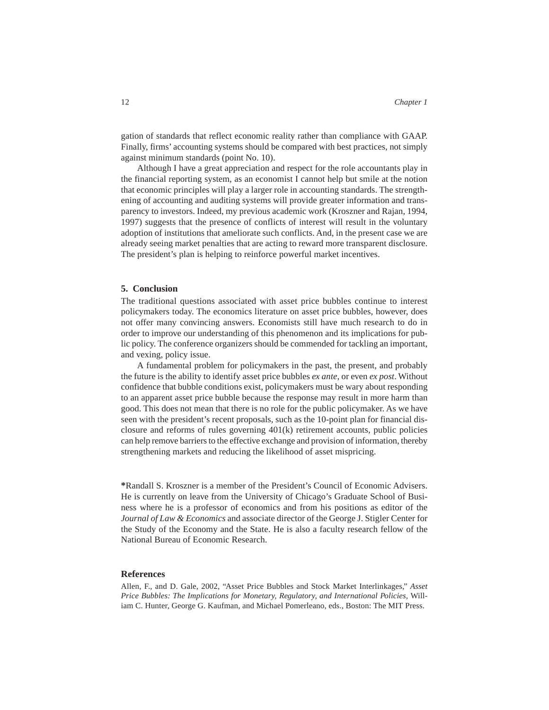gation of standards that reflect economic reality rather than compliance with GAAP. Finally, firms' accounting systems should be compared with best practices, not simply against minimum standards (point No. 10).

Although I have a great appreciation and respect for the role accountants play in the financial reporting system, as an economist I cannot help but smile at the notion that economic principles will play a larger role in accounting standards. The strengthening of accounting and auditing systems will provide greater information and transparency to investors. Indeed, my previous academic work (Kroszner and Rajan, 1994, 1997) suggests that the presence of conflicts of interest will result in the voluntary adoption of institutions that ameliorate such conflicts. And, in the present case we are already seeing market penalties that are acting to reward more transparent disclosure. The president's plan is helping to reinforce powerful market incentives.

#### **5. Conclusion**

The traditional questions associated with asset price bubbles continue to interest policymakers today. The economics literature on asset price bubbles, however, does not offer many convincing answers. Economists still have much research to do in order to improve our understanding of this phenomenon and its implications for public policy. The conference organizers should be commended for tackling an important, and vexing, policy issue.

A fundamental problem for policymakers in the past, the present, and probably the future is the ability to identify asset price bubbles *ex ante*, or even *ex post*. Without confidence that bubble conditions exist, policymakers must be wary about responding to an apparent asset price bubble because the response may result in more harm than good. This does not mean that there is no role for the public policymaker. As we have seen with the president's recent proposals, such as the 10-point plan for financial disclosure and reforms of rules governing 401(k) retirement accounts, public policies can help remove barriers to the effective exchange and provision of information, thereby strengthening markets and reducing the likelihood of asset mispricing.

**\***Randall S. Kroszner is a member of the President's Council of Economic Advisers. He is currently on leave from the University of Chicago's Graduate School of Business where he is a professor of economics and from his positions as editor of the *Journal of Law & Economics* and associate director of the George J. Stigler Center for the Study of the Economy and the State. He is also a faculty research fellow of the National Bureau of Economic Research.

### **References**

Allen, F., and D. Gale, 2002, "Asset Price Bubbles and Stock Market Interlinkages," *Asset Price Bubbles: The Implications for Monetary, Regulatory, and International Policies,* William C. Hunter, George G. Kaufman, and Michael Pomerleano, eds., Boston: The MIT Press.